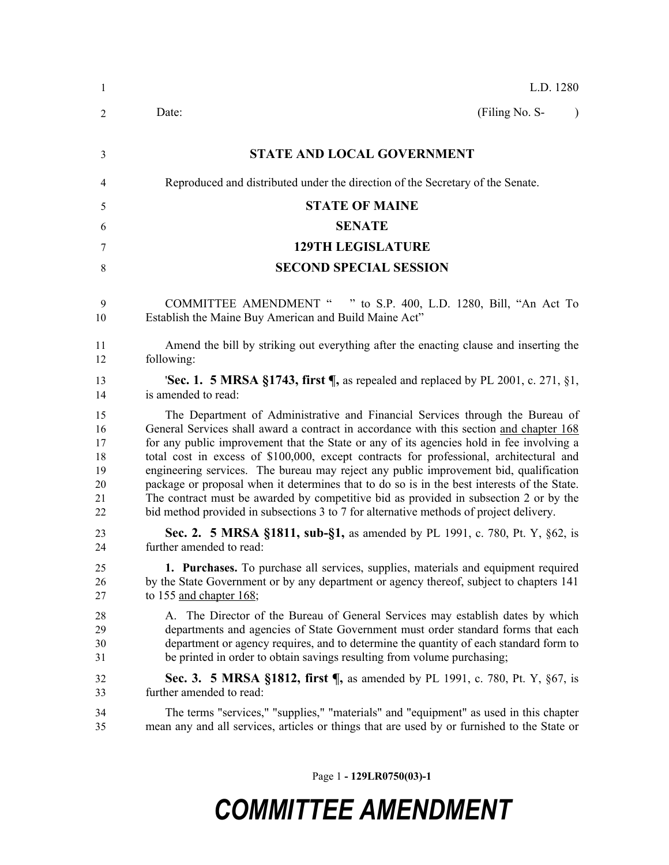| L.D. 1280                                                                                                                                                                                                                                                                                                                                                                                                                                                                                                                                                                                                                                                                                                                                  |
|--------------------------------------------------------------------------------------------------------------------------------------------------------------------------------------------------------------------------------------------------------------------------------------------------------------------------------------------------------------------------------------------------------------------------------------------------------------------------------------------------------------------------------------------------------------------------------------------------------------------------------------------------------------------------------------------------------------------------------------------|
| (Filing No. S-<br>Date:<br>$\lambda$                                                                                                                                                                                                                                                                                                                                                                                                                                                                                                                                                                                                                                                                                                       |
| <b>STATE AND LOCAL GOVERNMENT</b>                                                                                                                                                                                                                                                                                                                                                                                                                                                                                                                                                                                                                                                                                                          |
| Reproduced and distributed under the direction of the Secretary of the Senate.                                                                                                                                                                                                                                                                                                                                                                                                                                                                                                                                                                                                                                                             |
| <b>STATE OF MAINE</b>                                                                                                                                                                                                                                                                                                                                                                                                                                                                                                                                                                                                                                                                                                                      |
| <b>SENATE</b>                                                                                                                                                                                                                                                                                                                                                                                                                                                                                                                                                                                                                                                                                                                              |
| <b>129TH LEGISLATURE</b>                                                                                                                                                                                                                                                                                                                                                                                                                                                                                                                                                                                                                                                                                                                   |
| <b>SECOND SPECIAL SESSION</b>                                                                                                                                                                                                                                                                                                                                                                                                                                                                                                                                                                                                                                                                                                              |
| COMMITTEE AMENDMENT " " to S.P. 400, L.D. 1280, Bill, "An Act To<br>Establish the Maine Buy American and Build Maine Act"                                                                                                                                                                                                                                                                                                                                                                                                                                                                                                                                                                                                                  |
| Amend the bill by striking out everything after the enacting clause and inserting the<br>following:                                                                                                                                                                                                                                                                                                                                                                                                                                                                                                                                                                                                                                        |
| 'Sec. 1. 5 MRSA §1743, first ¶, as repealed and replaced by PL 2001, c. 271, §1,<br>is amended to read:                                                                                                                                                                                                                                                                                                                                                                                                                                                                                                                                                                                                                                    |
| The Department of Administrative and Financial Services through the Bureau of<br>General Services shall award a contract in accordance with this section and chapter 168<br>for any public improvement that the State or any of its agencies hold in fee involving a<br>total cost in excess of \$100,000, except contracts for professional, architectural and<br>engineering services. The bureau may reject any public improvement bid, qualification<br>package or proposal when it determines that to do so is in the best interests of the State.<br>The contract must be awarded by competitive bid as provided in subsection 2 or by the<br>bid method provided in subsections 3 to 7 for alternative methods of project delivery. |
| <b>Sec. 2. 5 MRSA §1811, sub-§1, as amended by PL 1991, c. 780, Pt. Y, §62, is</b><br>further amended to read:                                                                                                                                                                                                                                                                                                                                                                                                                                                                                                                                                                                                                             |
| 1. Purchases. To purchase all services, supplies, materials and equipment required<br>by the State Government or by any department or agency thereof, subject to chapters 141<br>to 155 and chapter 168;                                                                                                                                                                                                                                                                                                                                                                                                                                                                                                                                   |
| A. The Director of the Bureau of General Services may establish dates by which<br>departments and agencies of State Government must order standard forms that each<br>department or agency requires, and to determine the quantity of each standard form to<br>be printed in order to obtain savings resulting from volume purchasing;                                                                                                                                                                                                                                                                                                                                                                                                     |
| Sec. 3. 5 MRSA §1812, first ¶, as amended by PL 1991, c. 780, Pt. Y, §67, is<br>further amended to read:                                                                                                                                                                                                                                                                                                                                                                                                                                                                                                                                                                                                                                   |
| The terms "services," "supplies," "materials" and "equipment" as used in this chapter<br>mean any and all services, articles or things that are used by or furnished to the State or                                                                                                                                                                                                                                                                                                                                                                                                                                                                                                                                                       |
|                                                                                                                                                                                                                                                                                                                                                                                                                                                                                                                                                                                                                                                                                                                                            |

Page 1 **- 129LR0750(03)-1**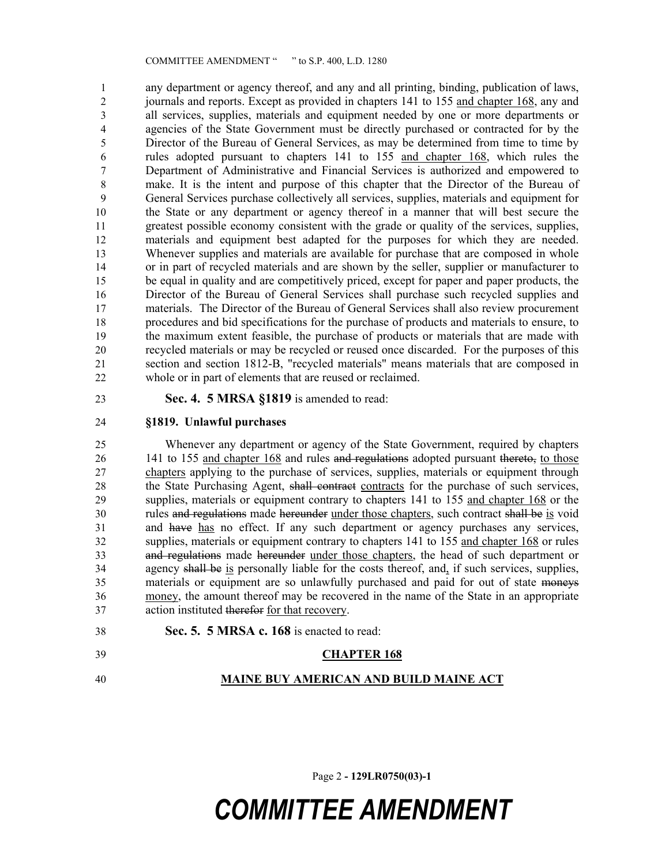any department or agency thereof, and any and all printing, binding, publication of laws, journals and reports. Except as provided in chapters 141 to 155 and chapter 168, any and all services, supplies, materials and equipment needed by one or more departments or agencies of the State Government must be directly purchased or contracted for by the Director of the Bureau of General Services, as may be determined from time to time by rules adopted pursuant to chapters 141 to 155 and chapter 168, which rules the Department of Administrative and Financial Services is authorized and empowered to make. It is the intent and purpose of this chapter that the Director of the Bureau of General Services purchase collectively all services, supplies, materials and equipment for the State or any department or agency thereof in a manner that will best secure the greatest possible economy consistent with the grade or quality of the services, supplies, materials and equipment best adapted for the purposes for which they are needed. Whenever supplies and materials are available for purchase that are composed in whole or in part of recycled materials and are shown by the seller, supplier or manufacturer to be equal in quality and are competitively priced, except for paper and paper products, the Director of the Bureau of General Services shall purchase such recycled supplies and materials. The Director of the Bureau of General Services shall also review procurement procedures and bid specifications for the purchase of products and materials to ensure, to the maximum extent feasible, the purchase of products or materials that are made with recycled materials or may be recycled or reused once discarded. For the purposes of this section and section 1812-B, "recycled materials" means materials that are composed in whole or in part of elements that are reused or reclaimed.

**Sec. 4. 5 MRSA §1819** is amended to read:

#### **§1819. Unlawful purchases**

 Whenever any department or agency of the State Government, required by chapters 26 141 to 155 and chapter 168 and rules and regulations adopted pursuant thereto, to those chapters applying to the purchase of services, supplies, materials or equipment through 28 the State Purchasing Agent, shall contract contracts for the purchase of such services, supplies, materials or equipment contrary to chapters 141 to 155 and chapter 168 or the rules and regulations made hereunder under those chapters, such contract shall be is void and have has no effect. If any such department or agency purchases any services, supplies, materials or equipment contrary to chapters 141 to 155 and chapter 168 or rules and regulations made hereunder under those chapters, the head of such department or agency shall be is personally liable for the costs thereof, and, if such services, supplies, materials or equipment are so unlawfully purchased and paid for out of state moneys money, the amount thereof may be recovered in the name of the State in an appropriate action instituted therefor for that recovery.

**Sec. 5. 5 MRSA c. 168** is enacted to read:

### **CHAPTER 168**

**MAINE BUY AMERICAN AND BUILD MAINE ACT**

Page 2 **- 129LR0750(03)-1**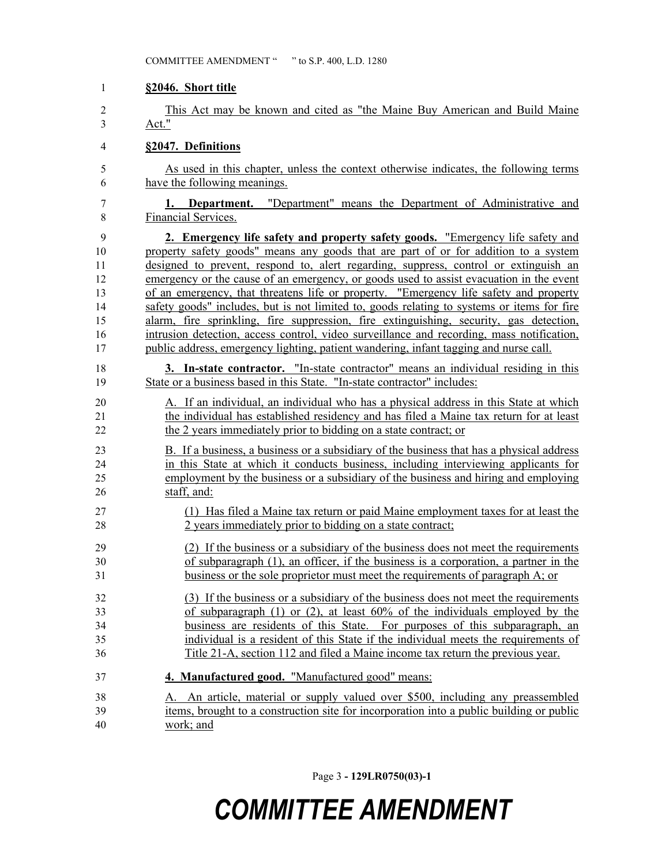#### **§2046. Short title**

 This Act may be known and cited as "the Maine Buy American and Build Maine Act."

#### **§2047. Definitions**

 As used in this chapter, unless the context otherwise indicates, the following terms have the following meanings.

 **1. Department.** "Department" means the Department of Administrative and Financial Services.

 **2. Emergency life safety and property safety goods.** "Emergency life safety and property safety goods" means any goods that are part of or for addition to a system designed to prevent, respond to, alert regarding, suppress, control or extinguish an emergency or the cause of an emergency, or goods used to assist evacuation in the event of an emergency, that threatens life or property. "Emergency life safety and property safety goods" includes, but is not limited to, goods relating to systems or items for fire alarm, fire sprinkling, fire suppression, fire extinguishing, security, gas detection, intrusion detection, access control, video surveillance and recording, mass notification, public address, emergency lighting, patient wandering, infant tagging and nurse call.

 **3. In-state contractor.** "In-state contractor" means an individual residing in this State or a business based in this State. "In-state contractor" includes:

 A. If an individual, an individual who has a physical address in this State at which the individual has established residency and has filed a Maine tax return for at least the 2 years immediately prior to bidding on a state contract; or

 B. If a business, a business or a subsidiary of the business that has a physical address in this State at which it conducts business, including interviewing applicants for employment by the business or a subsidiary of the business and hiring and employing staff, and:

- (1) Has filed a Maine tax return or paid Maine employment taxes for at least the 2 years immediately prior to bidding on a state contract;
- (2) If the business or a subsidiary of the business does not meet the requirements of subparagraph (1), an officer, if the business is a corporation, a partner in the business or the sole proprietor must meet the requirements of paragraph A; or
- (3) If the business or a subsidiary of the business does not meet the requirements of subparagraph (1) or (2), at least 60% of the individuals employed by the business are residents of this State. For purposes of this subparagraph, an individual is a resident of this State if the individual meets the requirements of Title 21-A, section 112 and filed a Maine income tax return the previous year.
- **4. Manufactured good.** "Manufactured good" means:
- A. An article, material or supply valued over \$500, including any preassembled items, brought to a construction site for incorporation into a public building or public work; and

Page 3 **- 129LR0750(03)-1**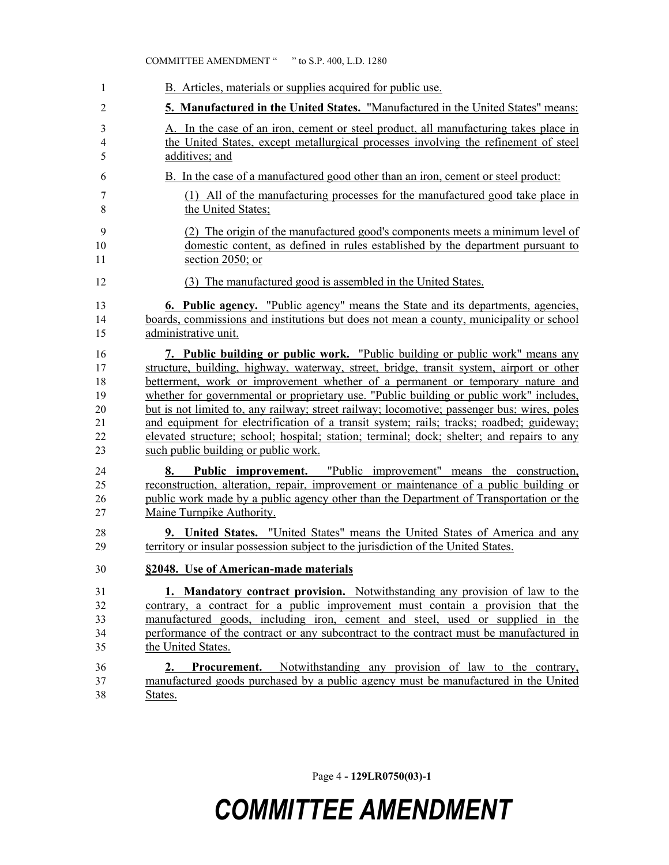| 1                       | B. Articles, materials or supplies acquired for public use.                                                                                                                                                                                                                             |
|-------------------------|-----------------------------------------------------------------------------------------------------------------------------------------------------------------------------------------------------------------------------------------------------------------------------------------|
| 2                       | 5. Manufactured in the United States. "Manufactured in the United States" means:                                                                                                                                                                                                        |
| 3                       | A. In the case of an iron, cement or steel product, all manufacturing takes place in                                                                                                                                                                                                    |
| $\overline{\mathbf{4}}$ | the United States, except metallurgical processes involving the refinement of steel                                                                                                                                                                                                     |
| 5                       | additives; and                                                                                                                                                                                                                                                                          |
| 6                       | B. In the case of a manufactured good other than an iron, cement or steel product:                                                                                                                                                                                                      |
| 7                       | (1) All of the manufacturing processes for the manufactured good take place in                                                                                                                                                                                                          |
| 8                       | the United States:                                                                                                                                                                                                                                                                      |
| 9                       | (2) The origin of the manufactured good's components meets a minimum level of                                                                                                                                                                                                           |
| 10                      | domestic content, as defined in rules established by the department pursuant to                                                                                                                                                                                                         |
| 11                      | section 2050; or                                                                                                                                                                                                                                                                        |
| 12                      | (3) The manufactured good is assembled in the United States.                                                                                                                                                                                                                            |
| 13                      | <b>6. Public agency.</b> "Public agency" means the State and its departments, agencies,                                                                                                                                                                                                 |
| 14                      | boards, commissions and institutions but does not mean a county, municipality or school                                                                                                                                                                                                 |
| 15                      | administrative unit.                                                                                                                                                                                                                                                                    |
| 16                      | 7. Public building or public work. "Public building or public work" means any                                                                                                                                                                                                           |
| 17                      | structure, building, highway, waterway, street, bridge, transit system, airport or other                                                                                                                                                                                                |
| 18                      | betterment, work or improvement whether of a permanent or temporary nature and                                                                                                                                                                                                          |
| 19                      | whether for governmental or proprietary use. "Public building or public work" includes,                                                                                                                                                                                                 |
| 20                      | but is not limited to, any railway; street railway; locomotive; passenger bus; wires, poles                                                                                                                                                                                             |
| 21                      | and equipment for electrification of a transit system; rails; tracks; roadbed; guideway;                                                                                                                                                                                                |
| 22                      | elevated structure; school; hospital; station; terminal; dock; shelter; and repairs to any                                                                                                                                                                                              |
| 23                      | such public building or public work.                                                                                                                                                                                                                                                    |
| 24<br>25<br>26<br>27    | Public improvement. "Public improvement" means the construction,<br>8.<br>reconstruction, alteration, repair, improvement or maintenance of a public building or<br>public work made by a public agency other than the Department of Transportation or the<br>Maine Turnpike Authority. |
| 28                      | 9. United States. "United States" means the United States of America and any                                                                                                                                                                                                            |
| 29                      | territory or insular possession subject to the jurisdiction of the United States.                                                                                                                                                                                                       |
| 30                      | §2048. Use of American-made materials                                                                                                                                                                                                                                                   |
| 31                      | 1. Mandatory contract provision. Notwithstanding any provision of law to the                                                                                                                                                                                                            |
| 32                      | contrary, a contract for a public improvement must contain a provision that the                                                                                                                                                                                                         |
| 33                      | manufactured goods, including iron, cement and steel, used or supplied in the                                                                                                                                                                                                           |
| 34                      | performance of the contract or any subcontract to the contract must be manufactured in                                                                                                                                                                                                  |
| 35                      | the United States.                                                                                                                                                                                                                                                                      |
| 36<br>37<br>38          | <b>Procurement.</b> Notwithstanding any provision of law to the contrary,<br>2.<br>manufactured goods purchased by a public agency must be manufactured in the United<br>States.                                                                                                        |

Page 4 **- 129LR0750(03)-1**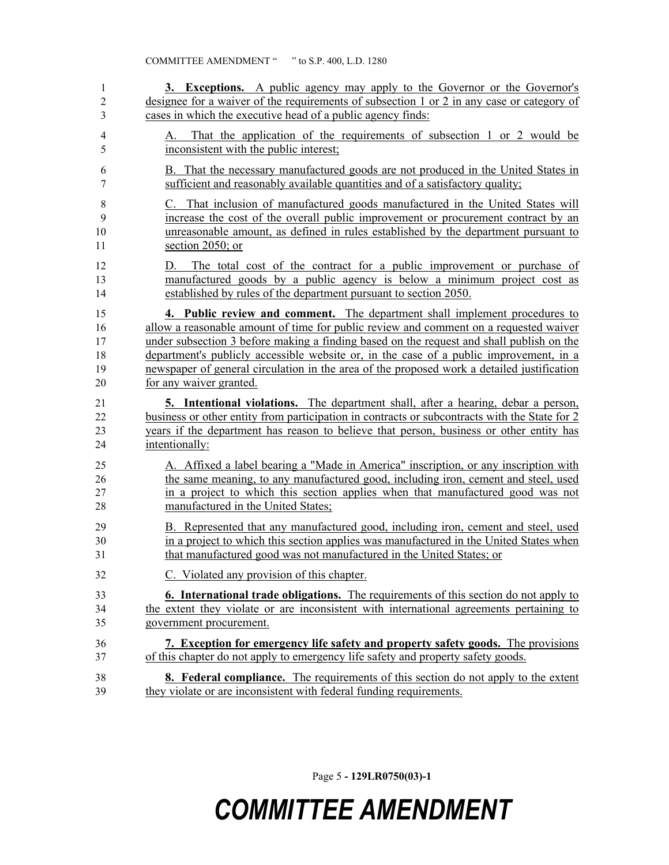| 1                             | 3. Exceptions. A public agency may apply to the Governor or the Governor's                                                                                                                                                   |
|-------------------------------|------------------------------------------------------------------------------------------------------------------------------------------------------------------------------------------------------------------------------|
| $\overline{2}$                | designee for a waiver of the requirements of subsection 1 or 2 in any case or category of                                                                                                                                    |
| 3                             | cases in which the executive head of a public agency finds:                                                                                                                                                                  |
| $\overline{\mathcal{A}}$<br>5 | That the application of the requirements of subsection 1 or 2 would be<br>А.<br>inconsistent with the public interest;                                                                                                       |
| 6                             | B. That the necessary manufactured goods are not produced in the United States in                                                                                                                                            |
| 7                             | sufficient and reasonably available quantities and of a satisfactory quality;                                                                                                                                                |
| $8\,$                         | C. That inclusion of manufactured goods manufactured in the United States will                                                                                                                                               |
| 9                             | increase the cost of the overall public improvement or procurement contract by an                                                                                                                                            |
| 10                            | unreasonable amount, as defined in rules established by the department pursuant to                                                                                                                                           |
| 11                            | section 2050; or                                                                                                                                                                                                             |
| 12<br>13<br>14                | The total cost of the contract for a public improvement or purchase of<br>D.<br>manufactured goods by a public agency is below a minimum project cost as<br>established by rules of the department pursuant to section 2050. |
| 15                            | 4. Public review and comment. The department shall implement procedures to                                                                                                                                                   |
| 16                            | allow a reasonable amount of time for public review and comment on a requested waiver                                                                                                                                        |
| 17                            | under subsection 3 before making a finding based on the request and shall publish on the                                                                                                                                     |
| 18                            | department's publicly accessible website or, in the case of a public improvement, in a                                                                                                                                       |
| 19                            | newspaper of general circulation in the area of the proposed work a detailed justification                                                                                                                                   |
| 20                            | for any waiver granted.                                                                                                                                                                                                      |
| 21                            | <b>5.</b> Intentional violations. The department shall, after a hearing, debar a person,                                                                                                                                     |
| 22                            | business or other entity from participation in contracts or subcontracts with the State for 2                                                                                                                                |
| 23                            | years if the department has reason to believe that person, business or other entity has                                                                                                                                      |
| 24                            | intentionally:                                                                                                                                                                                                               |
| 25                            | A. Affixed a label bearing a "Made in America" inscription, or any inscription with                                                                                                                                          |
| 26                            | the same meaning, to any manufactured good, including iron, cement and steel, used                                                                                                                                           |
| 27                            | in a project to which this section applies when that manufactured good was not                                                                                                                                               |
| 28                            | manufactured in the United States;                                                                                                                                                                                           |
| 29                            | B. Represented that any manufactured good, including iron, cement and steel, used                                                                                                                                            |
| 30                            | in a project to which this section applies was manufactured in the United States when                                                                                                                                        |
| 31                            | that manufactured good was not manufactured in the United States; or                                                                                                                                                         |
| 32                            | Violated any provision of this chapter.                                                                                                                                                                                      |
| 33                            | <b>6. International trade obligations.</b> The requirements of this section do not apply to                                                                                                                                  |
| 34                            | the extent they violate or are inconsistent with international agreements pertaining to                                                                                                                                      |
| 35                            | government procurement.                                                                                                                                                                                                      |
| 36                            | 7. Exception for emergency life safety and property safety goods. The provisions                                                                                                                                             |
| 37                            | of this chapter do not apply to emergency life safety and property safety goods.                                                                                                                                             |
| 38                            | <b>8.</b> Federal compliance. The requirements of this section do not apply to the extent                                                                                                                                    |
| 39                            | they violate or are inconsistent with federal funding requirements.                                                                                                                                                          |

Page 5 **- 129LR0750(03)-1**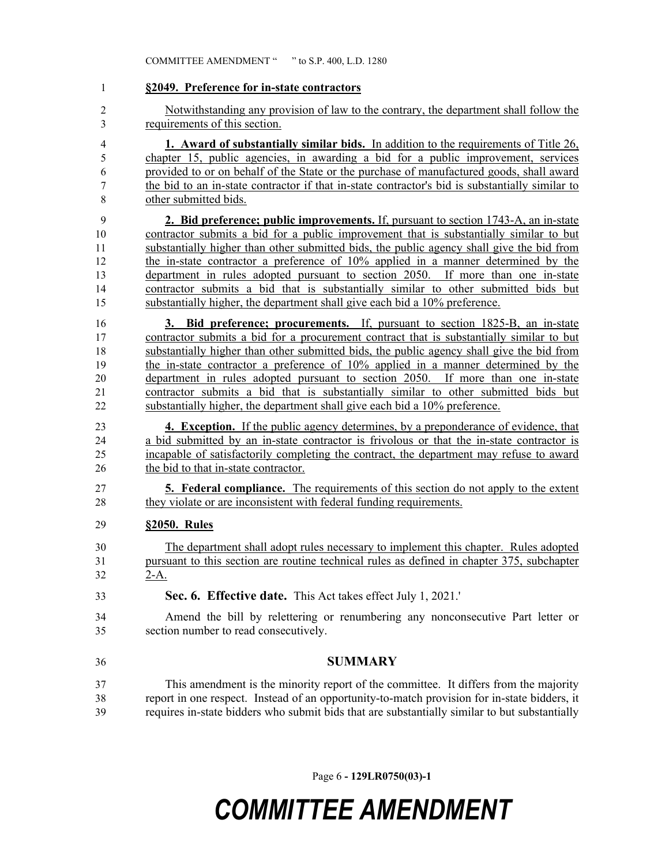| 1              | §2049. Preference for in-state contractors                                                      |
|----------------|-------------------------------------------------------------------------------------------------|
| $\overline{2}$ | Notwithstanding any provision of law to the contrary, the department shall follow the           |
| 3              | requirements of this section.                                                                   |
| $\overline{4}$ | <b>1. Award of substantially similar bids.</b> In addition to the requirements of Title 26,     |
| 5              | chapter 15, public agencies, in awarding a bid for a public improvement, services               |
| 6              | provided to or on behalf of the State or the purchase of manufactured goods, shall award        |
| 7              | the bid to an in-state contractor if that in-state contractor's bid is substantially similar to |
| 8              | other submitted bids.                                                                           |
| 9              | 2. Bid preference; public improvements. If, pursuant to section 1743-A, an in-state             |
| 10             | contractor submits a bid for a public improvement that is substantially similar to but          |
| 11             | substantially higher than other submitted bids, the public agency shall give the bid from       |
| 12             | the in-state contractor a preference of 10% applied in a manner determined by the               |
| 13             | department in rules adopted pursuant to section 2050. If more than one in-state                 |
| 14             | contractor submits a bid that is substantially similar to other submitted bids but              |
| 15             | substantially higher, the department shall give each bid a 10% preference.                      |
| 16             | <b>3. Bid preference; procurements.</b> If, pursuant to section 1825-B, an in-state             |
| 17             | contractor submits a bid for a procurement contract that is substantially similar to but        |
| 18             | substantially higher than other submitted bids, the public agency shall give the bid from       |
| 19             | the in-state contractor a preference of 10% applied in a manner determined by the               |
| 20             | department in rules adopted pursuant to section 2050. If more than one in-state                 |
| 21             | contractor submits a bid that is substantially similar to other submitted bids but              |
| 22             | substantially higher, the department shall give each bid a 10% preference.                      |
| 23             | <b>4. Exception.</b> If the public agency determines, by a preponderance of evidence, that      |
| 24             | a bid submitted by an in-state contractor is frivolous or that the in-state contractor is       |
| 25             | incapable of satisfactorily completing the contract, the department may refuse to award         |
| 26             | the bid to that in-state contractor.                                                            |
| 27             | <b>5. Federal compliance.</b> The requirements of this section do not apply to the extent       |
| 28             | they violate or are inconsistent with federal funding requirements.                             |
| 29             | §2050. Rules                                                                                    |
| 30             | The department shall adopt rules necessary to implement this chapter. Rules adopted             |
| 31             | pursuant to this section are routine technical rules as defined in chapter 375, subchapter      |
| 32             | $2-A$ .                                                                                         |
| 33             | Sec. 6. Effective date. This Act takes effect July 1, 2021.                                     |
| 34             | Amend the bill by relettering or renumbering any nonconsecutive Part letter or                  |
| 35             | section number to read consecutively.                                                           |
| 36             | <b>SUMMARY</b>                                                                                  |
| 37             | This amendment is the minority report of the committee. It differs from the majority            |
| 38             | report in one respect. Instead of an opportunity-to-match provision for in-state bidders, it    |
| 39             | requires in-state bidders who submit bids that are substantially similar to but substantially   |

Page 6 **- 129LR0750(03)-1**